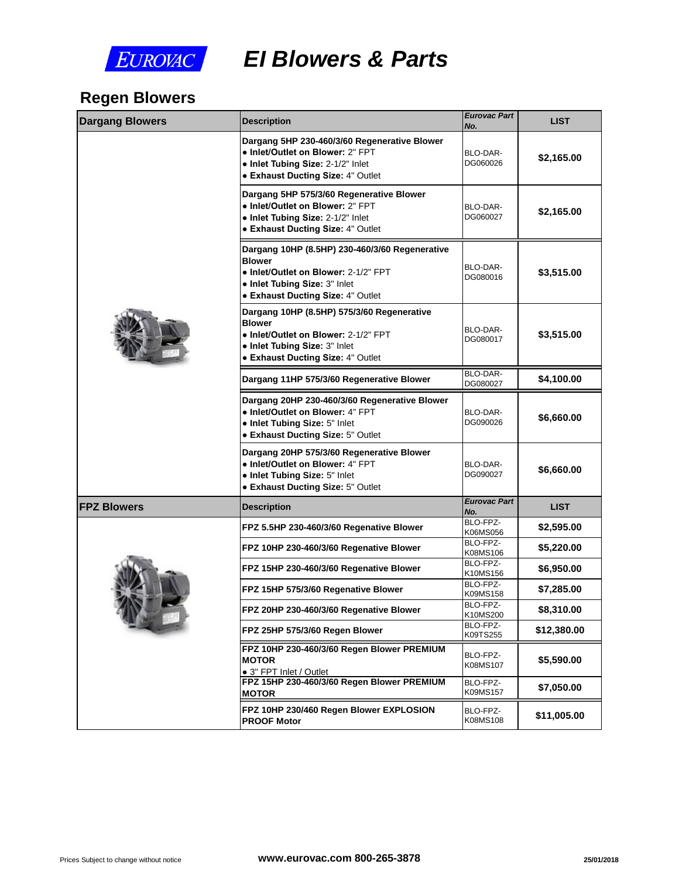

*EI Blowers & Parts*

# **Regen Blowers**

| <b>Dargang Blowers</b> | <b>Description</b>                                                                                                                                                                   | <b>Eurovac Part</b><br>No. |  |
|------------------------|--------------------------------------------------------------------------------------------------------------------------------------------------------------------------------------|----------------------------|--|
|                        | Dargang 5HP 230-460/3/60 Regenerative Blower<br>• Inlet/Outlet on Blower: 2" FPT<br>· Inlet Tubing Size: 2-1/2" Inlet<br>• Exhaust Ducting Size: 4" Outlet                           | BLO-DAR-<br>DG060026       |  |
|                        | Dargang 5HP 575/3/60 Regenerative Blower<br>• Inlet/Outlet on Blower: 2" FPT<br>• Inlet Tubing Size: 2-1/2" Inlet<br><b>• Exhaust Ducting Size: 4" Outlet</b>                        | BLO-DAR-<br>DG060027       |  |
|                        | Dargang 10HP (8.5HP) 230-460/3/60 Regenerative<br><b>Blower</b><br>• Inlet/Outlet on Blower: 2-1/2" FPT<br>· Inlet Tubing Size: 3" Inlet<br><b>• Exhaust Ducting Size: 4" Outlet</b> | BLO-DAR-<br>DG080016       |  |
|                        | Dargang 10HP (8.5HP) 575/3/60 Regenerative<br><b>Blower</b><br>• Inlet/Outlet on Blower: 2-1/2" FPT<br>• Inlet Tubing Size: 3" Inlet<br><b>• Exhaust Ducting Size: 4" Outlet</b>     | BLO-DAR-<br>DG080017       |  |
|                        | Dargang 11HP 575/3/60 Regenerative Blower                                                                                                                                            | BLO-DAR-<br>DG080027       |  |
|                        | Dargang 20HP 230-460/3/60 Regenerative Blower<br>• Inlet/Outlet on Blower: 4" FPT<br>• Inlet Tubing Size: 5" Inlet<br>• Exhaust Ducting Size: 5" Outlet                              | BLO-DAR-<br>DG090026       |  |
|                        | Dargang 20HP 575/3/60 Regenerative Blower<br>· Inlet/Outlet on Blower: 4" FPT<br>• Inlet Tubing Size: 5" Inlet<br>• Exhaust Ducting Size: 5" Outlet                                  | BLO-DAR-<br>DG090027       |  |
| <b>FPZ Blowers</b>     | <b>Description</b>                                                                                                                                                                   | <b>Eurovac Part</b><br>No. |  |
|                        | FPZ 5.5HP 230-460/3/60 Regenative Blower                                                                                                                                             | BLO-FPZ-<br>K06MS056       |  |
|                        | FPZ 10HP 230-460/3/60 Regenative Blower                                                                                                                                              | BLO-FPZ-<br>K08MS106       |  |
| THE                    | FPZ 15HP 230-460/3/60 Regenative Blower                                                                                                                                              | BLO-FPZ-<br>K10MS156       |  |
|                        | FPZ 15HP 575/3/60 Regenative Blower                                                                                                                                                  | BLO-FPZ-<br>K09MS158       |  |
|                        | FPZ 20HP 230-460/3/60 Regenative Blower                                                                                                                                              | BLO-FPZ-<br>K10MS200       |  |
|                        | FPZ 25HP 575/3/60 Regen Blower                                                                                                                                                       | BLO-FPZ-<br>K09TS255       |  |
|                        | FPZ 10HP 230-460/3/60 Regen Blower PREMIUM<br><b>MOTOR</b><br>• 3" FPT Inlet / Outlet                                                                                                | BLO-FPZ-<br>K08MS107       |  |
|                        | FPZ 15HP 230-460/3/60 Regen Blower PREMIUM<br><b>MOTOR</b>                                                                                                                           | BLO-FPZ-<br>K09MS157       |  |
|                        | FPZ 10HP 230/460 Regen Blower EXPLOSION<br><b>PROOF Motor</b>                                                                                                                        | BLO-FPZ-<br>K08MS108       |  |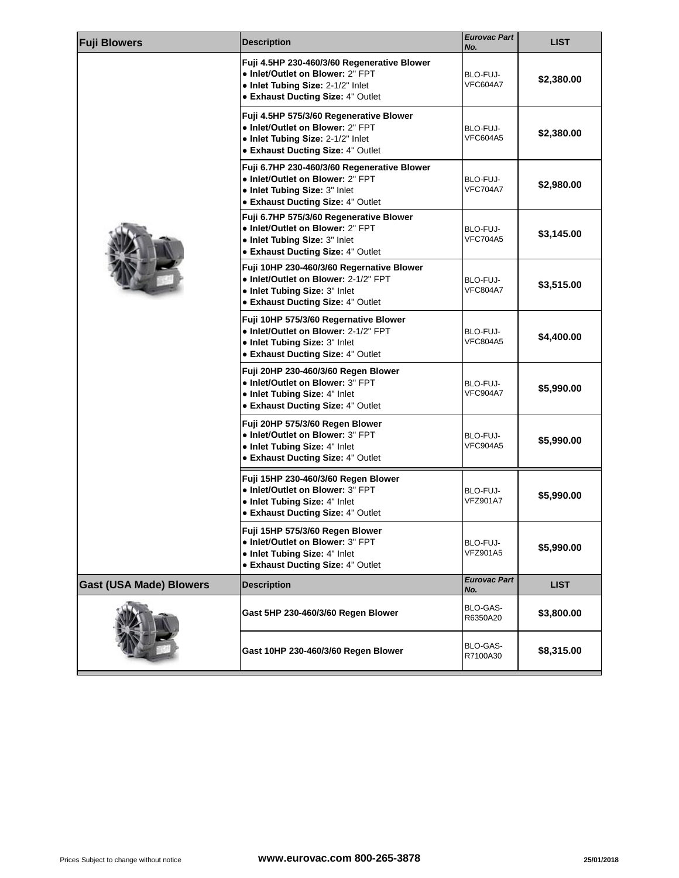| <b>Fuji Blowers</b>            | <b>Description</b>                                                                                                                                               | <b>Eurovac Part</b><br>No.  |
|--------------------------------|------------------------------------------------------------------------------------------------------------------------------------------------------------------|-----------------------------|
|                                | Fuji 4.5HP 230-460/3/60 Regenerative Blower<br>• Inlet/Outlet on Blower: 2" FPT<br>• Inlet Tubing Size: 2-1/2" Inlet<br><b>• Exhaust Ducting Size: 4" Outlet</b> | BLO-FUJ-<br><b>VFC604A7</b> |
|                                | Fuji 4.5HP 575/3/60 Regenerative Blower<br>· Inlet/Outlet on Blower: 2" FPT<br>• Inlet Tubing Size: 2-1/2" Inlet<br>• Exhaust Ducting Size: 4" Outlet            | BLO-FUJ-<br><b>VFC604A5</b> |
|                                | Fuji 6.7HP 230-460/3/60 Regenerative Blower<br>• Inlet/Outlet on Blower: 2" FPT<br>• Inlet Tubing Size: 3" Inlet<br>• Exhaust Ducting Size: 4" Outlet            | BLO-FUJ-<br><b>VFC704A7</b> |
|                                | Fuji 6.7HP 575/3/60 Regenerative Blower<br>• Inlet/Outlet on Blower: 2" FPT<br>. Inlet Tubing Size: 3" Inlet<br>• Exhaust Ducting Size: 4" Outlet                | BLO-FUJ-<br><b>VFC704A5</b> |
|                                | Fuji 10HP 230-460/3/60 Regernative Blower<br>• Inlet/Outlet on Blower: 2-1/2" FPT<br>. Inlet Tubing Size: 3" Inlet<br><b>• Exhaust Ducting Size: 4" Outlet</b>   | BLO-FUJ-<br>VFC804A7        |
|                                | Fuji 10HP 575/3/60 Regernative Blower<br>• Inlet/Outlet on Blower: 2-1/2" FPT<br>• Inlet Tubing Size: 3" Inlet<br><b>• Exhaust Ducting Size: 4" Outlet</b>       | BLO-FUJ-<br><b>VFC804A5</b> |
|                                | Fuji 20HP 230-460/3/60 Regen Blower<br>• Inlet/Outlet on Blower: 3" FPT<br>• Inlet Tubing Size: 4" Inlet<br>• Exhaust Ducting Size: 4" Outlet                    | BLO-FUJ-<br><b>VFC904A7</b> |
|                                | Fuji 20HP 575/3/60 Regen Blower<br>· Inlet/Outlet on Blower: 3" FPT<br>• Inlet Tubing Size: 4" Inlet<br><b>• Exhaust Ducting Size: 4" Outlet</b>                 | BLO-FUJ-<br><b>VFC904A5</b> |
|                                | Fuji 15HP 230-460/3/60 Regen Blower<br>• Inlet/Outlet on Blower: 3" FPT<br>. Inlet Tubing Size: 4" Inlet<br>• Exhaust Ducting Size: 4" Outlet                    | BLO-FUJ-<br><b>VFZ901A7</b> |
|                                | Fuji 15HP 575/3/60 Regen Blower<br>· Inlet/Outlet on Blower: 3" FPT<br>• Inlet Tubing Size: 4" Inlet<br><b>• Exhaust Ducting Size: 4" Outlet</b>                 | BLO-FUJ-<br>VFZ901A5        |
| <b>Gast (USA Made) Blowers</b> | <b>Description</b>                                                                                                                                               | <b>Eurovac Part</b><br>No.  |
|                                | Gast 5HP 230-460/3/60 Regen Blower                                                                                                                               | BLO-GAS-<br>R6350A20        |
|                                | Gast 10HP 230-460/3/60 Regen Blower                                                                                                                              | BLO-GAS-<br>R7100A30        |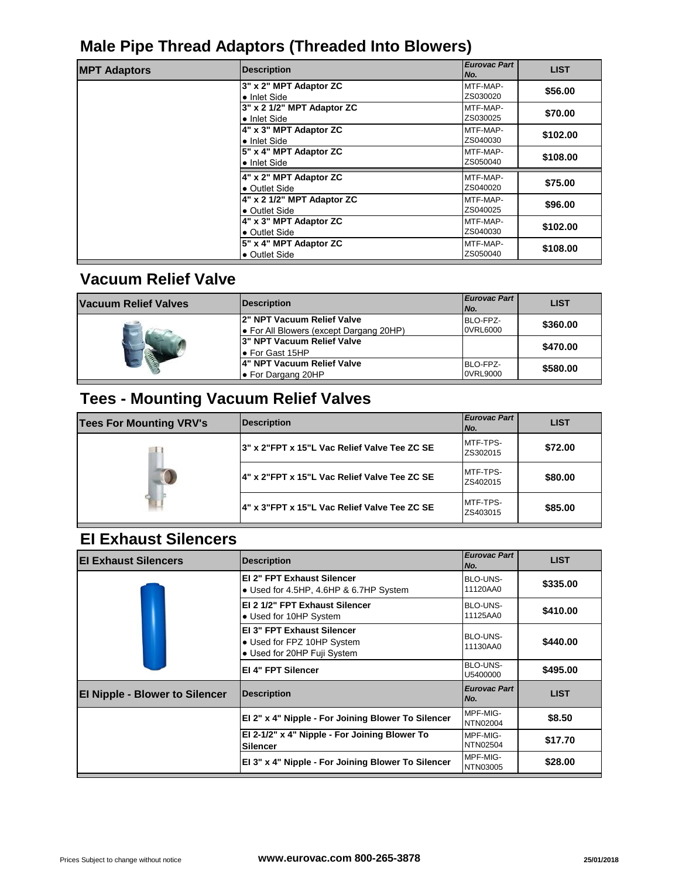## **Male Pipe Thread Adaptors (Threaded Into Blowers)**

| <b>MPT Adaptors</b> | <b>Description</b>         | <b>Eurovac Part</b><br>No. |
|---------------------|----------------------------|----------------------------|
|                     | 3" x 2" MPT Adaptor ZC     | MTF-MAP-                   |
|                     | • Inlet Side               | ZS030020                   |
|                     | 3" x 2 1/2" MPT Adaptor ZC | MTF-MAP-                   |
|                     | $\bullet$ Inlet Side       | ZS030025                   |
|                     | 4" x 3" MPT Adaptor ZC     | MTF-MAP-                   |
|                     | • Inlet Side               | ZS040030                   |
|                     | 5" x 4" MPT Adaptor ZC     | MTF-MAP-                   |
|                     | $\bullet$ Inlet Side       | ZS050040                   |
|                     | 4" x 2" MPT Adaptor ZC     | MTF-MAP-                   |
|                     | • Outlet Side              | ZS040020                   |
|                     | 4" x 2 1/2" MPT Adaptor ZC | MTF-MAP-                   |
|                     | • Outlet Side              | ZS040025                   |
|                     | 4" x 3" MPT Adaptor ZC     | MTF-MAP-                   |
|                     | • Outlet Side              | ZS040030                   |
|                     | 5" x 4" MPT Adaptor ZC     | MTF-MAP-                   |
|                     | • Outlet Side              | ZS050040                   |

## **Vacuum Relief Valve**

| Vacuum Relief Valves | <b>Description</b>                      | <b>Eurovac Part</b><br>No. |
|----------------------|-----------------------------------------|----------------------------|
| 会                    | l2" NPT Vacuum Relief Valve             | BLO-FPZ-                   |
|                      | • For All Blowers (except Dargang 20HP) | 0VRL6000                   |
|                      | l3" NPT Vacuum Relief Valve             |                            |
|                      | l● For Gast 15HP                        |                            |
|                      | 4" NPT Vacuum Relief Valve              | BLO-FPZ-                   |
|                      | ● For Dargang 20HP                      | 0VRL9000                   |

# **Tees - Mounting Vacuum Relief Valves**

| <b>Tees For Mounting VRV's</b> | Description                                  | <b>Eurovac Part</b><br>INo. |
|--------------------------------|----------------------------------------------|-----------------------------|
|                                | 3" x 2"FPT x 15"L Vac Relief Valve Tee ZC SE | MTF-TPS-<br>ZS302015        |
|                                | 4" x 2"FPT x 15"L Vac Relief Valve Tee ZC SE | MTF-TPS-<br>ZS402015        |
|                                | 4" x 3"FPT x 15"L Vac Relief Valve Tee ZC SE | <b>MTF-TPS-</b><br>ZS403015 |

## **EI Exhaust Silencers**

| <b>El Exhaust Silencers</b>           | <b>Description</b>                                                                      | <b>Eurovac Part</b><br>No. |
|---------------------------------------|-----------------------------------------------------------------------------------------|----------------------------|
|                                       | <b>EI 2" FPT Exhaust Silencer</b><br>• Used for 4.5HP, 4.6HP & 6.7HP System             | BLO-UNS-<br>11120AA0       |
|                                       | EI 2 1/2" FPT Exhaust Silencer<br>• Used for 10HP System                                | BLO-UNS-<br>11125AA0       |
|                                       | EI 3" FPT Exhaust Silencer<br>• Used for FPZ 10HP System<br>• Used for 20HP Fuji System | BLO-UNS-<br>11130AA0       |
|                                       | <b>EI 4" FPT Silencer</b>                                                               | BLO-UNS-<br>U5400000       |
| <b>El Nipple - Blower to Silencer</b> | <b>Description</b>                                                                      | <b>Eurovac Part</b><br>No. |
|                                       | El 2" x 4" Nipple - For Joining Blower To Silencer                                      | MPF-MIG-<br>NTN02004       |
|                                       | El 2-1/2" x 4" Nipple - For Joining Blower To<br><b>Silencer</b>                        | MPF-MIG-<br>NTN02504       |
|                                       | El 3" x 4" Nipple - For Joining Blower To Silencer                                      | MPF-MIG-<br>NTN03005       |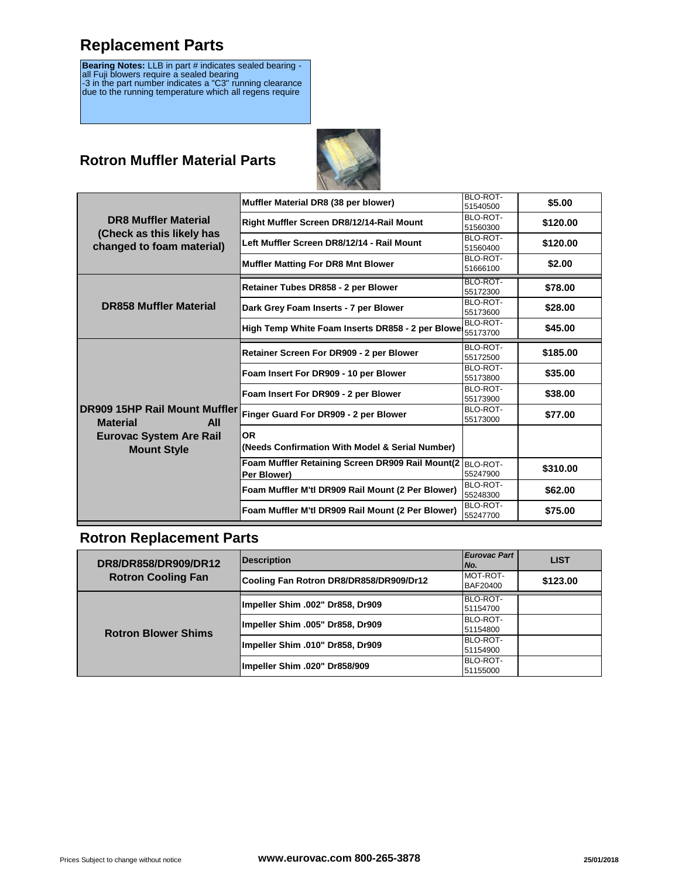## **Replacement Parts**

**Bearing Notes:** LLB in part # indicates sealed bearing -<br>all Fuji blowers require a sealed bearing<br>-3 in the part number indicates a "C3" running clearance due to the running temperature which all regens require

#### **Rotron Muffler Material Parts**



|                                | Muffler Material DR8 (38 per blower)                      | BLO-ROT- |
|--------------------------------|-----------------------------------------------------------|----------|
|                                |                                                           | 51540500 |
| <b>DR8 Muffler Material</b>    | Right Muffler Screen DR8/12/14-Rail Mount                 | BLO-ROT- |
| (Check as this likely has      |                                                           | 51560300 |
|                                | Left Muffler Screen DR8/12/14 - Rail Mount                | BLO-ROT- |
| changed to foam material)      |                                                           | 51560400 |
|                                | <b>Muffler Matting For DR8 Mnt Blower</b>                 | BLO-ROT- |
|                                |                                                           | 51666100 |
|                                | Retainer Tubes DR858 - 2 per Blower                       | BLO-ROT- |
|                                |                                                           | 55172300 |
| <b>DR858 Muffler Material</b>  | Dark Grey Foam Inserts - 7 per Blower                     | BLO-ROT- |
|                                |                                                           | 55173600 |
|                                | High Temp White Foam Inserts DR858 - 2 per Blowe          | BLO-ROT- |
|                                |                                                           | 55173700 |
|                                | Retainer Screen For DR909 - 2 per Blower                  | BLO-ROT- |
|                                |                                                           | 55172500 |
|                                | Foam Insert For DR909 - 10 per Blower                     | BLO-ROT- |
|                                |                                                           | 55173800 |
|                                | Foam Insert For DR909 - 2 per Blower                      | BLO-ROT- |
|                                |                                                           | 55173900 |
| DR909 15HP Rail Mount Muffler  | Finger Guard For DR909 - 2 per Blower                     | BLO-ROT- |
| <b>Material</b><br><b>All</b>  |                                                           | 55173000 |
| <b>Eurovac System Are Rail</b> | <b>OR</b>                                                 |          |
|                                | (Needs Confirmation With Model & Serial Number)           |          |
| <b>Mount Style</b>             |                                                           |          |
|                                | Foam Muffler Retaining Screen DR909 Rail Mount(2 BLO-ROT- |          |
|                                | Per Blower)                                               | 55247900 |
|                                | Foam Muffler M'tl DR909 Rail Mount (2 Per Blower)         | BLO-ROT- |
|                                |                                                           | 55248300 |
|                                | Foam Muffler M'tl DR909 Rail Mount (2 Per Blower)         | BLO-ROT- |
|                                |                                                           | 55247700 |

#### **Rotron Replacement Parts**

| DR8/DR858/DR909/DR12<br><b>Rotron Cooling Fan</b> | <b>Description</b>                      | <b>Eurovac Part</b><br>No. |
|---------------------------------------------------|-----------------------------------------|----------------------------|
|                                                   | Cooling Fan Rotron DR8/DR858/DR909/Dr12 | MOT-ROT-<br>BAF20400       |
| <b>Rotron Blower Shims</b>                        | Impeller Shim .002" Dr858, Dr909        | BLO-ROT-<br>51154700       |
|                                                   | Impeller Shim .005" Dr858, Dr909        | BLO-ROT-<br>51154800       |
|                                                   | Impeller Shim .010" Dr858, Dr909        | BLO-ROT-<br>51154900       |
|                                                   | Impeller Shim .020" Dr858/909           | BLO-ROT-<br>51155000       |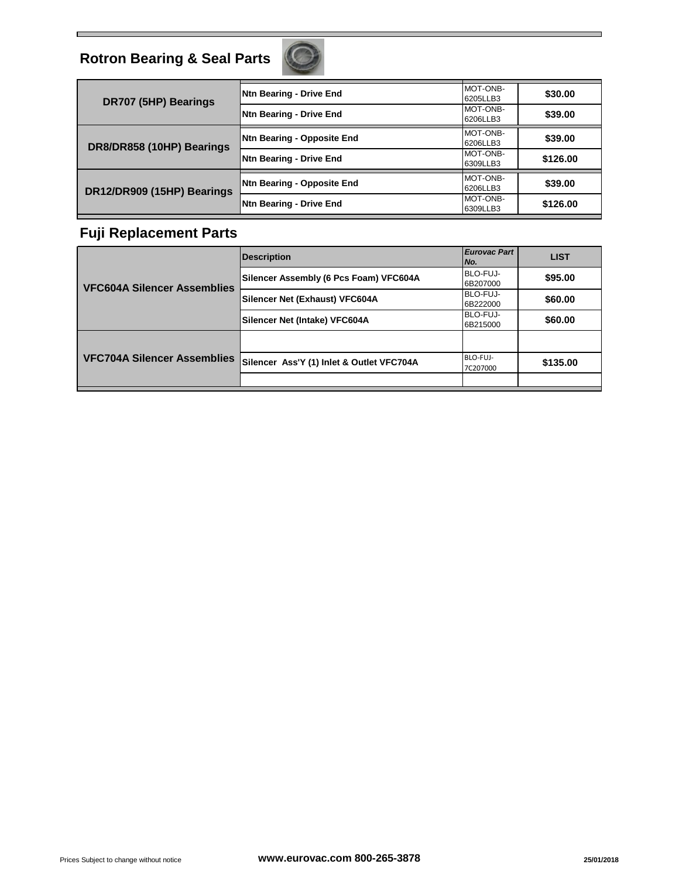

| Ntn Bearing - Drive End<br>DR707 (5HP) Bearings          | MOT-ONB-<br>6205LLB3 |
|----------------------------------------------------------|----------------------|
| <b>Ntn Bearing - Drive End</b>                           | MOT-ONB-<br>6206LLB3 |
| Ntn Bearing - Opposite End<br>DR8/DR858 (10HP) Bearings  | MOT-ONB-<br>6206LLB3 |
| Ntn Bearing - Drive End                                  | MOT-ONB-<br>6309LLB3 |
| Ntn Bearing - Opposite End<br>DR12/DR909 (15HP) Bearings | MOT-ONB-<br>6206LLB3 |
| Ntn Bearing - Drive End                                  | MOT-ONB-<br>6309LLB3 |

#### **Fuji Replacement Parts**

| <b>VFC604A Silencer Assemblies</b> | <b>Description</b>                        | <b>Eurovac Part</b><br>No. |
|------------------------------------|-------------------------------------------|----------------------------|
|                                    | Silencer Assembly (6 Pcs Foam) VFC604A    | BLO-FUJ-<br>6B207000       |
|                                    | Silencer Net (Exhaust) VFC604A            | BLO-FUJ-<br>6B222000       |
|                                    | Silencer Net (Intake) VFC604A             | BLO-FUJ-<br>6B215000       |
| VFC704A Silencer Assemblies        |                                           |                            |
|                                    | Silencer Ass'Y (1) Inlet & Outlet VFC704A | BLO-FUJ-<br>7C207000       |
|                                    |                                           |                            |